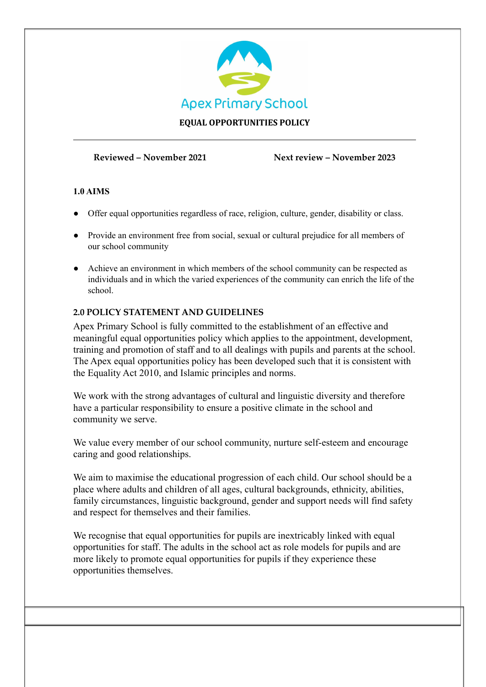

**Reviewed – November 2021 Next review – November 2023**

## **1.0 AIMS**

- Offer equal opportunities regardless of race, religion, culture, gender, disability or class.
- Provide an environment free from social, sexual or cultural prejudice for all members of our school community
- Achieve an environment in which members of the school community can be respected as individuals and in which the varied experiences of the community can enrich the life of the school.

# **2.0 POLICY STATEMENT AND GUIDELINES**

Apex Primary School is fully committed to the establishment of an effective and meaningful equal opportunities policy which applies to the appointment, development, training and promotion of staff and to all dealings with pupils and parents at the school. The Apex equal opportunities policy has been developed such that it is consistent with the Equality Act 2010, and Islamic principles and norms.

We work with the strong advantages of cultural and linguistic diversity and therefore have a particular responsibility to ensure a positive climate in the school and community we serve.

We value every member of our school community, nurture self-esteem and encourage caring and good relationships.

We aim to maximise the educational progression of each child. Our school should be a place where adults and children of all ages, cultural backgrounds, ethnicity, abilities, family circumstances, linguistic background, gender and support needs will find safety and respect for themselves and their families.

We recognise that equal opportunities for pupils are inextricably linked with equal opportunities for staff. The adults in the school act as role models for pupils and are more likely to promote equal opportunities for pupils if they experience these opportunities themselves.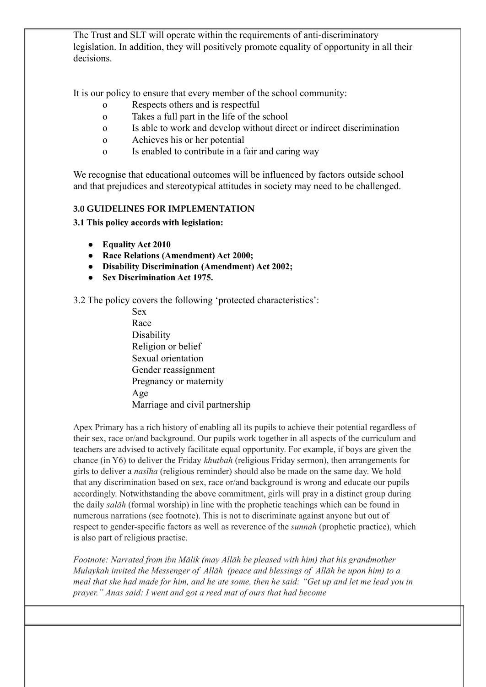The Trust and SLT will operate within the requirements of anti-discriminatory legislation. In addition, they will positively promote equality of opportunity in all their decisions.

It is our policy to ensure that every member of the school community:

- o Respects others and is respectful
- o Takes a full part in the life of the school
- o Is able to work and develop without direct or indirect discrimination
- o Achieves his or her potential
- o Is enabled to contribute in a fair and caring way

We recognise that educational outcomes will be influenced by factors outside school and that prejudices and stereotypical attitudes in society may need to be challenged.

## **3.0 GUIDELINES FOR IMPLEMENTATION**

# **3.1 This policy accords with legislation:**

- **Equality Act 2010**
- **Race Relations (Amendment) Act 2000;**
- **Disability Discrimination (Amendment) Act 2002;**
- **Sex Discrimination Act 1975.**

3.2 The policy covers the following 'protected characteristics':

Sex Race Disability Religion or belief Sexual orientation Gender reassignment Pregnancy or maternity Age Marriage and civil partnership

Apex Primary has a rich history of enabling all its pupils to achieve their potential regardless of their sex, race or/and background. Our pupils work together in all aspects of the curriculum and teachers are advised to actively facilitate equal opportunity. For example, if boys are given the chance (in Y6) to deliver the Friday *khutbah* (religious Friday sermon), then arrangements for girls to deliver a *nasīha* (religious reminder) should also be made on the same day. We hold that any discrimination based on sex, race or/and background is wrong and educate our pupils accordingly. Notwithstanding the above commitment, girls will pray in a distinct group during the daily *salāh* (formal worship) in line with the prophetic teachings which can be found in numerous narrations (see footnote). This is not to discriminate against anyone but out of respect to gender-specific factors as well as reverence of the *sunnah* (prophetic practice), which is also part of religious practise.

*Footnote: Narrated from ibn Mālik (may Allāh be pleased with him) that his grandmother Mulaykah invited the Messenger of Allāh (peace and blessings of Allāh be upon him) to a* meal that she had made for him, and he ate some, then he said: "Get up and let me lead you in *prayer." Anas said: I went and got a reed mat of ours that had become*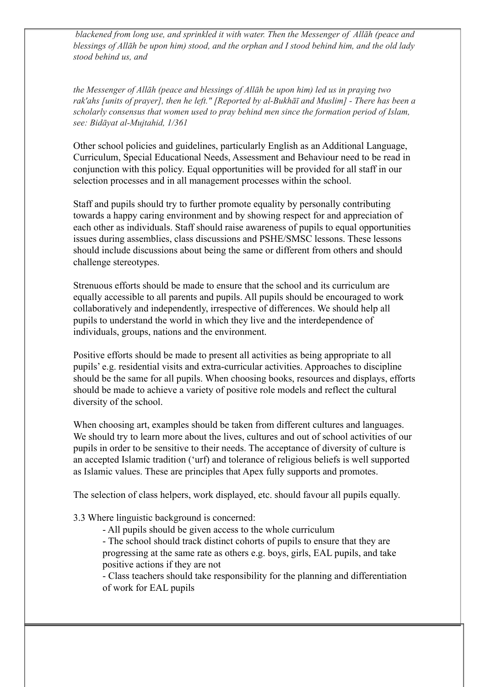*blackened from long use, and sprinkled it with water. Then the Messenger of Allāh (peace and* blessings of Allah be upon him) stood, and the orphan and I stood behind him, and the old lady *stood behind us, and*

*the Messenger of Allāh (peace and blessings of Allāh be upon him) led us in praying two rak'ahs [units of prayer], then he left." [Reported by al-Bukhāī and Muslim] - There has been a scholarly consensus that women used to pray behind men since the formation period of Islam, see: Bidāyat al-Mujtahid, 1/361*

Other school policies and guidelines, particularly English as an Additional Language, Curriculum, Special Educational Needs, Assessment and Behaviour need to be read in conjunction with this policy. Equal opportunities will be provided for all staff in our selection processes and in all management processes within the school.

Staff and pupils should try to further promote equality by personally contributing towards a happy caring environment and by showing respect for and appreciation of each other as individuals. Staff should raise awareness of pupils to equal opportunities issues during assemblies, class discussions and PSHE/SMSC lessons. These lessons should include discussions about being the same or different from others and should challenge stereotypes.

Strenuous efforts should be made to ensure that the school and its curriculum are equally accessible to all parents and pupils. All pupils should be encouraged to work collaboratively and independently, irrespective of differences. We should help all pupils to understand the world in which they live and the interdependence of individuals, groups, nations and the environment.

Positive efforts should be made to present all activities as being appropriate to all pupils' e.g. residential visits and extra-curricular activities. Approaches to discipline should be the same for all pupils. When choosing books, resources and displays, efforts should be made to achieve a variety of positive role models and reflect the cultural diversity of the school.

When choosing art, examples should be taken from different cultures and languages. We should try to learn more about the lives, cultures and out of school activities of our pupils in order to be sensitive to their needs. The acceptance of diversity of culture is an accepted Islamic tradition ('urf) and tolerance of religious beliefs is well supported as Islamic values. These are principles that Apex fully supports and promotes.

The selection of class helpers, work displayed, etc. should favour all pupils equally.

3.3 Where linguistic background is concerned:

- All pupils should be given access to the whole curriculum

- The school should track distinct cohorts of pupils to ensure that they are progressing at the same rate as others e.g. boys, girls, EAL pupils, and take positive actions if they are not

- Class teachers should take responsibility for the planning and differentiation of work for EAL pupils